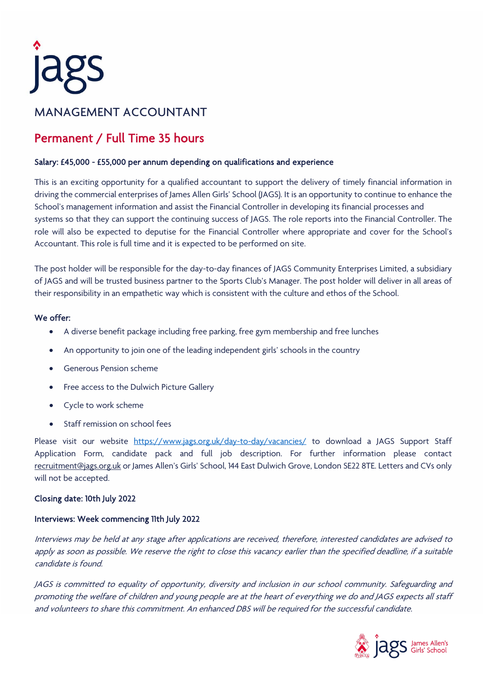

# MANAGEMENT ACCOUNTANT

## Permanent / Full Time 35 hours

### Salary: £45,000 - £55,000 per annum depending on qualifications and experience

This is an exciting opportunity for a qualified accountant to support the delivery of timely financial information in driving the commercial enterprises of James Allen Girls' School (JAGS). It is an opportunity to continue to enhance the School's management information and assist the Financial Controller in developing its financial processes and systems so that they can support the continuing success of JAGS. The role reports into the Financial Controller. The role will also be expected to deputise for the Financial Controller where appropriate and cover for the School's Accountant. This role is full time and it is expected to be performed on site.

The post holder will be responsible for the day-to-day finances of JAGS Community Enterprises Limited, a subsidiary of JAGS and will be trusted business partner to the Sports Club's Manager. The post holder will deliver in all areas of their responsibility in an empathetic way which is consistent with the culture and ethos of the School.

### We offer:

- A diverse benefit package including free parking, free gym membership and free lunches
- An opportunity to join one of the leading independent girls' schools in the country
- Generous Pension scheme
- Free access to the Dulwich Picture Gallery
- Cycle to work scheme
- Staff remission on school fees

Please visit our website <https://www.jags.org.uk/day-to-day/vacancies/> to download a JAGS Support Staff Application Form, candidate pack and full job description. For further information please contact [recruitment@jags.org.uk](mailto:recruitment@jags.org.uk) or James Allen's Girls' School, 144 East Dulwich Grove, London SE22 8TE. Letters and CVs only will not be accepted.

### Closing date: 10th July 2022

### Interviews: Week commencing 11th July 2022

Interviews may be held at any stage after applications are received, therefore, interested candidates are advised to apply as soon as possible. We reserve the right to close this vacancy earlier than the specified deadline, if a suitable candidate is found.

JAGS is committed to equality of opportunity, diversity and inclusion in our school community. Safeguarding and promoting the welfare of children and young people are at the heart of everything we do and JAGS expects all staff and volunteers to share this commitment. An enhanced DBS will be required for the successful candidate.